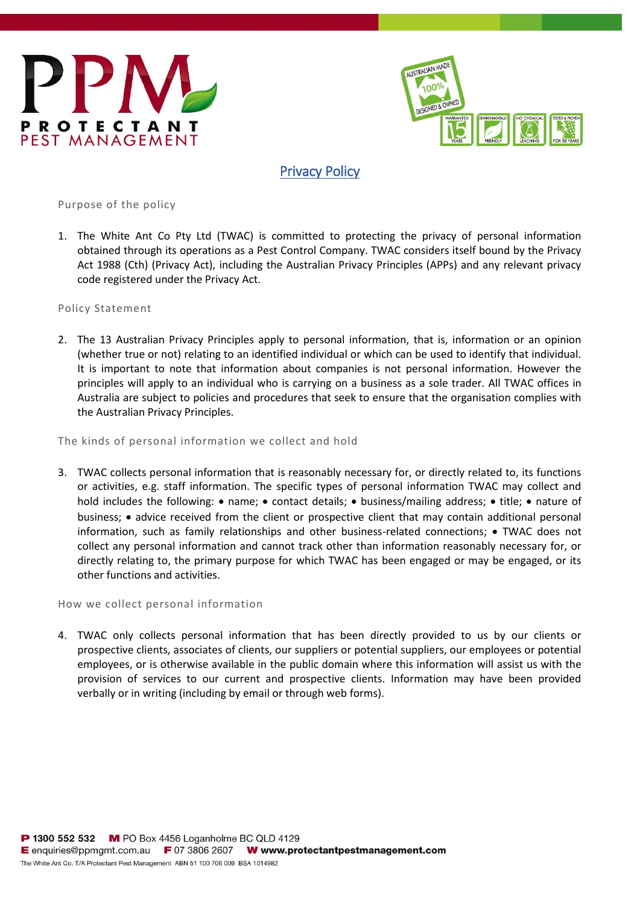



# Privacy Policy

Purpose of the policy

1. The White Ant Co Pty Ltd (TWAC) is committed to protecting the privacy of personal information obtained through its operations as a Pest Control Company. TWAC considers itself bound by the Privacy Act 1988 (Cth) (Privacy Act), including the Australian Privacy Principles (APPs) and any relevant privacy code registered under the Privacy Act.

Policy Statement

2. The 13 Australian Privacy Principles apply to personal information, that is, information or an opinion (whether true or not) relating to an identified individual or which can be used to identify that individual. It is important to note that information about companies is not personal information. However the principles will apply to an individual who is carrying on a business as a sole trader. All TWAC offices in Australia are subject to policies and procedures that seek to ensure that the organisation complies with the Australian Privacy Principles.

The kinds of personal information we collect and hold

3. TWAC collects personal information that is reasonably necessary for, or directly related to, its functions or activities, e.g. staff information. The specific types of personal information TWAC may collect and hold includes the following: • name; • contact details; • business/mailing address; • title; • nature of business; • advice received from the client or prospective client that may contain additional personal information, such as family relationships and other business-related connections; • TWAC does not collect any personal information and cannot track other than information reasonably necessary for, or directly relating to, the primary purpose for which TWAC has been engaged or may be engaged, or its other functions and activities.

How we collect personal information

4. TWAC only collects personal information that has been directly provided to us by our clients or prospective clients, associates of clients, our suppliers or potential suppliers, our employees or potential employees, or is otherwise available in the public domain where this information will assist us with the provision of services to our current and prospective clients. Information may have been provided verbally or in writing (including by email or through web forms).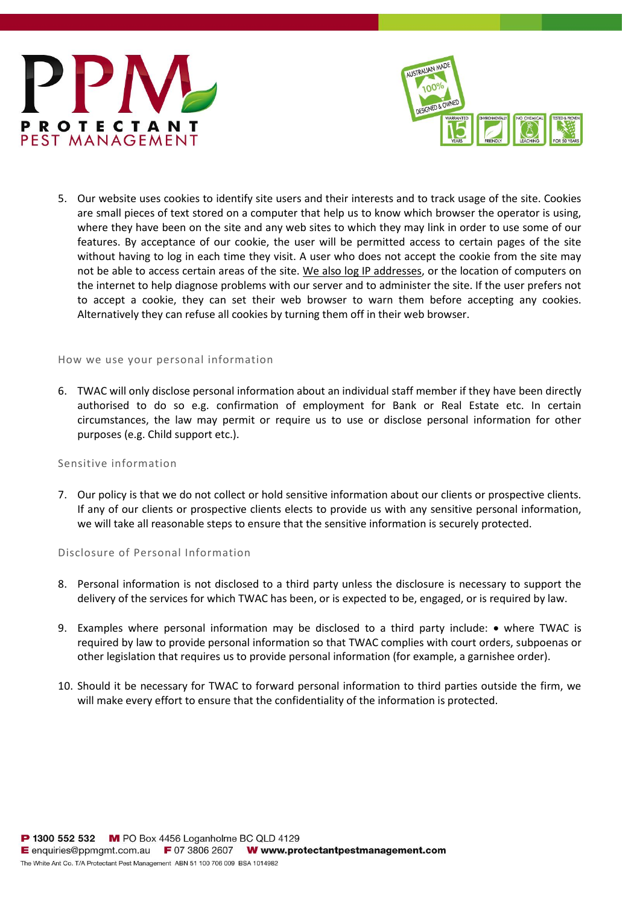



5. Our website uses cookies to identify site users and their interests and to track usage of the site. Cookies are small pieces of text stored on a computer that help us to know which browser the operator is using, where they have been on the site and any web sites to which they may link in order to use some of our features. By acceptance of our cookie, the user will be permitted access to certain pages of the site without having to log in each time they visit. A user who does not accept the cookie from the site may not be able to access certain areas of the site. We also log IP addresses, or the location of computers on the internet to help diagnose problems with our server and to administer the site. If the user prefers not to accept a cookie, they can set their web browser to warn them before accepting any cookies. Alternatively they can refuse all cookies by turning them off in their web browser.

#### How we use your personal information

6. TWAC will only disclose personal information about an individual staff member if they have been directly authorised to do so e.g. confirmation of employment for Bank or Real Estate etc. In certain circumstances, the law may permit or require us to use or disclose personal information for other purposes (e.g. Child support etc.).

## Sensitive information

7. Our policy is that we do not collect or hold sensitive information about our clients or prospective clients. If any of our clients or prospective clients elects to provide us with any sensitive personal information, we will take all reasonable steps to ensure that the sensitive information is securely protected.

### Disclosure of Personal Information

- 8. Personal information is not disclosed to a third party unless the disclosure is necessary to support the delivery of the services for which TWAC has been, or is expected to be, engaged, or is required by law.
- 9. Examples where personal information may be disclosed to a third party include: where TWAC is required by law to provide personal information so that TWAC complies with court orders, subpoenas or other legislation that requires us to provide personal information (for example, a garnishee order).
- 10. Should it be necessary for TWAC to forward personal information to third parties outside the firm, we will make every effort to ensure that the confidentiality of the information is protected.